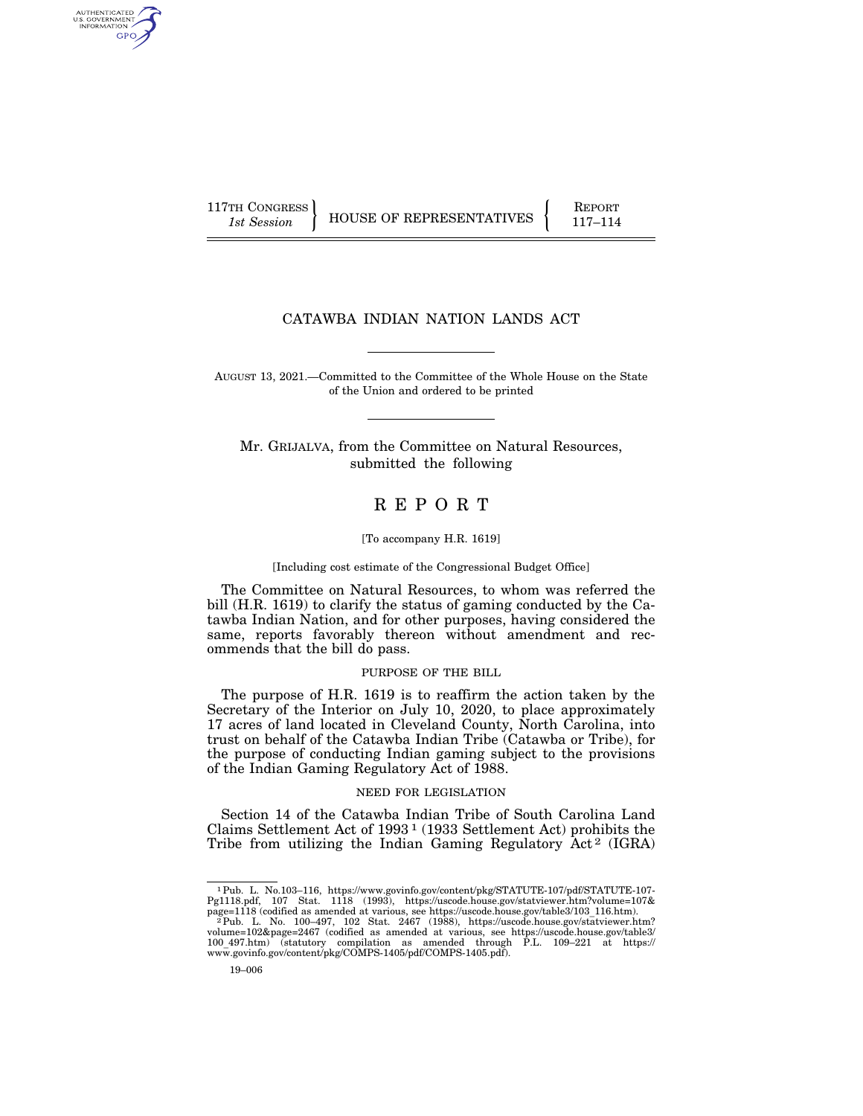AUTHENTICATED U.S. GOVERNMENT **GPO** 

117TH CONGRESS HOUSE OF REPRESENTATIVES FEPORT 117-114

# CATAWBA INDIAN NATION LANDS ACT

AUGUST 13, 2021.—Committed to the Committee of the Whole House on the State of the Union and ordered to be printed

Mr. GRIJALVA, from the Committee on Natural Resources, submitted the following

# R E P O R T

## [To accompany H.R. 1619]

# [Including cost estimate of the Congressional Budget Office]

The Committee on Natural Resources, to whom was referred the bill (H.R. 1619) to clarify the status of gaming conducted by the Catawba Indian Nation, and for other purposes, having considered the same, reports favorably thereon without amendment and recommends that the bill do pass.

# PURPOSE OF THE BILL

The purpose of H.R. 1619 is to reaffirm the action taken by the Secretary of the Interior on July 10, 2020, to place approximately 17 acres of land located in Cleveland County, North Carolina, into trust on behalf of the Catawba Indian Tribe (Catawba or Tribe), for the purpose of conducting Indian gaming subject to the provisions of the Indian Gaming Regulatory Act of 1988.

# NEED FOR LEGISLATION

Section 14 of the Catawba Indian Tribe of South Carolina Land Claims Settlement Act of 1993 1 (1933 Settlement Act) prohibits the Tribe from utilizing the Indian Gaming Regulatory  $\text{Act}^2$  (IGRA)

 $^1$  Pub. L. No.103–116, https://www.govinfo.gov/content/pkg/STATUTE-107/pdf/STATUTE-107-pg1118.pdf, 107 Stat. 1118 (1993), https://uscode.house.gov/statviewer.htn?volume=107& page=1118 (codified as amended at various, se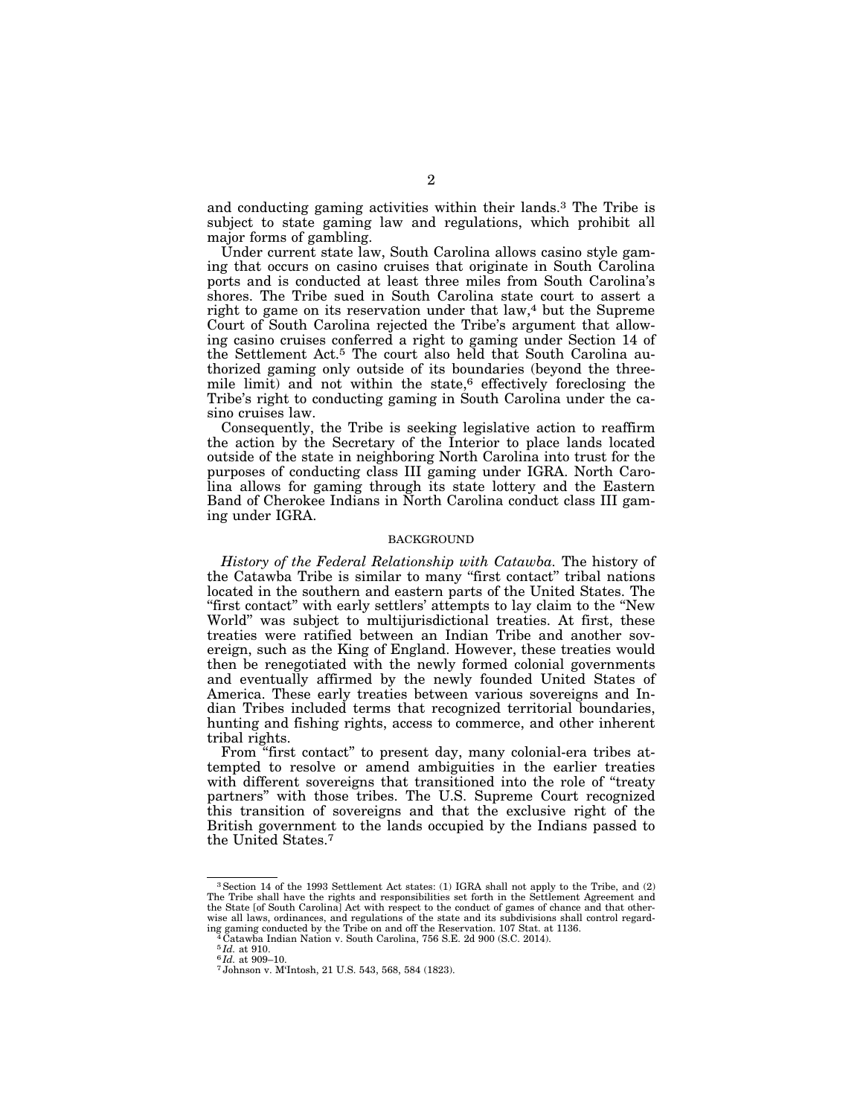and conducting gaming activities within their lands.3 The Tribe is subject to state gaming law and regulations, which prohibit all major forms of gambling.

Under current state law, South Carolina allows casino style gaming that occurs on casino cruises that originate in South Carolina ports and is conducted at least three miles from South Carolina's shores. The Tribe sued in South Carolina state court to assert a right to game on its reservation under that law,<sup>4</sup> but the Supreme Court of South Carolina rejected the Tribe's argument that allowing casino cruises conferred a right to gaming under Section 14 of the Settlement Act.5 The court also held that South Carolina authorized gaming only outside of its boundaries (beyond the threemile limit) and not within the state, $6$  effectively foreclosing the Tribe's right to conducting gaming in South Carolina under the casino cruises law.

Consequently, the Tribe is seeking legislative action to reaffirm the action by the Secretary of the Interior to place lands located outside of the state in neighboring North Carolina into trust for the purposes of conducting class III gaming under IGRA. North Carolina allows for gaming through its state lottery and the Eastern Band of Cherokee Indians in North Carolina conduct class III gaming under IGRA.

## **BACKGROUND**

*History of the Federal Relationship with Catawba.* The history of the Catawba Tribe is similar to many ''first contact'' tribal nations located in the southern and eastern parts of the United States. The ''first contact'' with early settlers' attempts to lay claim to the ''New World'' was subject to multijurisdictional treaties. At first, these treaties were ratified between an Indian Tribe and another sovereign, such as the King of England. However, these treaties would then be renegotiated with the newly formed colonial governments and eventually affirmed by the newly founded United States of America. These early treaties between various sovereigns and Indian Tribes included terms that recognized territorial boundaries, hunting and fishing rights, access to commerce, and other inherent tribal rights.

From ''first contact'' to present day, many colonial-era tribes attempted to resolve or amend ambiguities in the earlier treaties with different sovereigns that transitioned into the role of "treaty partners'' with those tribes. The U.S. Supreme Court recognized this transition of sovereigns and that the exclusive right of the British government to the lands occupied by the Indians passed to the United States.7

<sup>3</sup>Section 14 of the 1993 Settlement Act states: (1) IGRA shall not apply to the Tribe, and (2) The Tribe shall have the rights and responsibilities set forth in the Settlement Agreement and the State [of South Carolina] Act with respect to the conduct of games of chance and that otherwise all laws, ordinances, and regulations of the state and its subdivisions shall control regarding gaming conducted by the Tribe on and off the Reservation. 107 Stat. at 1136.<br>
<sup>4</sup> Catawba Indian Nation v. South Carolina, 756 S.E. 2d 900 (S.C. 2014).<br>
<sup>5</sup> Id. at 910.

<sup>5</sup> *Id.* at 910. 6 *Id.* at 909–10. 7 Johnson v. M'Intosh, 21 U.S. 543, 568, 584 (1823).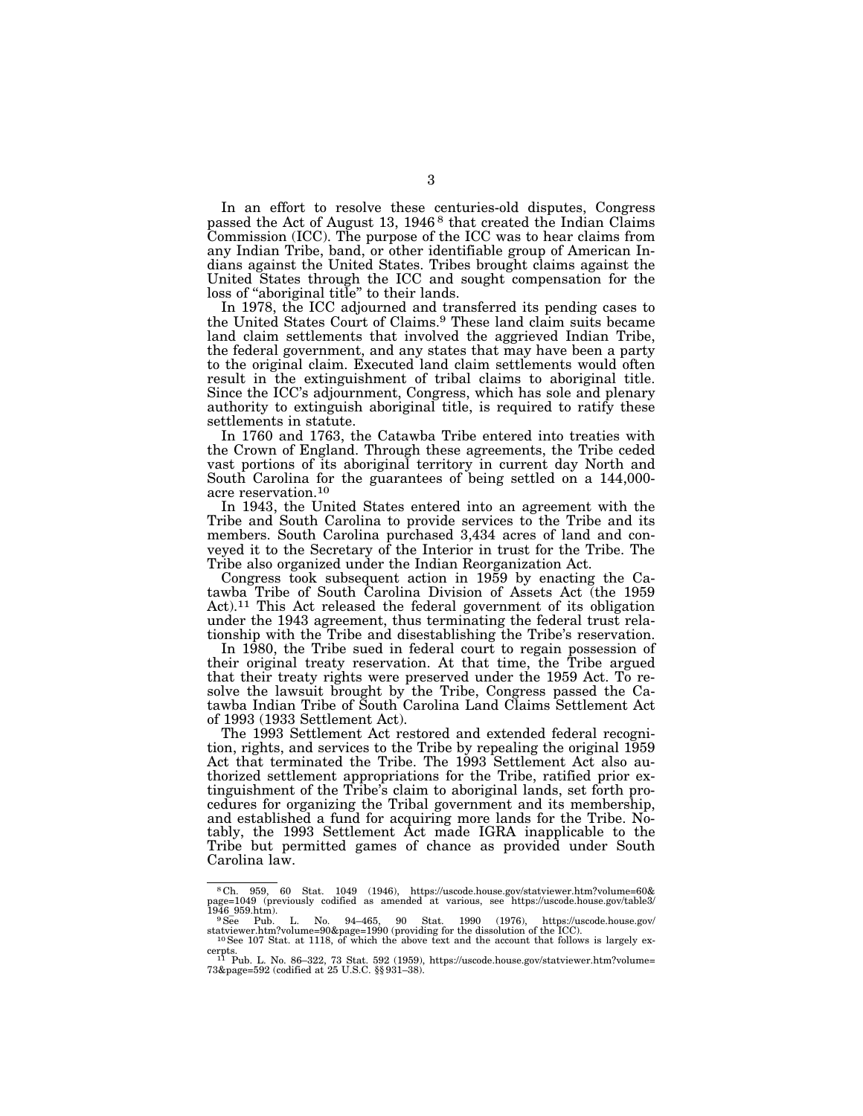In an effort to resolve these centuries-old disputes, Congress passed the Act of August 13, 1946<sup>8</sup> that created the Indian Claims Commission (ICC). The purpose of the ICC was to hear claims from any Indian Tribe, band, or other identifiable group of American Indians against the United States. Tribes brought claims against the United States through the ICC and sought compensation for the loss of ''aboriginal title'' to their lands.

In 1978, the ICC adjourned and transferred its pending cases to the United States Court of Claims.9 These land claim suits became land claim settlements that involved the aggrieved Indian Tribe, the federal government, and any states that may have been a party to the original claim. Executed land claim settlements would often result in the extinguishment of tribal claims to aboriginal title. Since the ICC's adjournment, Congress, which has sole and plenary authority to extinguish aboriginal title, is required to ratify these settlements in statute.

In 1760 and 1763, the Catawba Tribe entered into treaties with the Crown of England. Through these agreements, the Tribe ceded vast portions of its aboriginal territory in current day North and South Carolina for the guarantees of being settled on a 144,000 acre reservation.10

In 1943, the United States entered into an agreement with the Tribe and South Carolina to provide services to the Tribe and its members. South Carolina purchased 3,434 acres of land and conveyed it to the Secretary of the Interior in trust for the Tribe. The Tribe also organized under the Indian Reorganization Act.

Congress took subsequent action in 1959 by enacting the Catawba Tribe of South Carolina Division of Assets Act (the 1959 Act).11 This Act released the federal government of its obligation under the 1943 agreement, thus terminating the federal trust relationship with the Tribe and disestablishing the Tribe's reservation.

In 1980, the Tribe sued in federal court to regain possession of their original treaty reservation. At that time, the Tribe argued that their treaty rights were preserved under the 1959 Act. To resolve the lawsuit brought by the Tribe, Congress passed the Catawba Indian Tribe of South Carolina Land Claims Settlement Act of 1993 (1933 Settlement Act).

The 1993 Settlement Act restored and extended federal recognition, rights, and services to the Tribe by repealing the original 1959 Act that terminated the Tribe. The 1993 Settlement Act also authorized settlement appropriations for the Tribe, ratified prior extinguishment of the Tribe's claim to aboriginal lands, set forth procedures for organizing the Tribal government and its membership, and established a fund for acquiring more lands for the Tribe. Notably, the 1993 Settlement Act made IGRA inapplicable to the Tribe but permitted games of chance as provided under South Carolina law.

<sup>8</sup> Ch. 959, 60 Stat. 1049 (1946), https://uscode.house.gov/statviewer.htm?volume=60& page=1049 (previously codified as amended at various, see https://uscode.house.gov/table3/ <sup>1946</sup>\_959.htm). 9See Pub. L. No. 94–465, 90 Stat. 1990 (1976), https://uscode.house.gov/

statviewer.htm?volume=90&page=1990 (providing for the dissolution of the ICC).<br><sup>10</sup>See 107 Stat. at 1118, of which the above text and the account that follows is largely ex-

cerpts. 11 Pub. L. No. 86–322, 73 Stat. 592 (1959), https://uscode.house.gov/statviewer.htm?volume= 73&page=592 (codified at 25 U.S.C. §§ 931–38).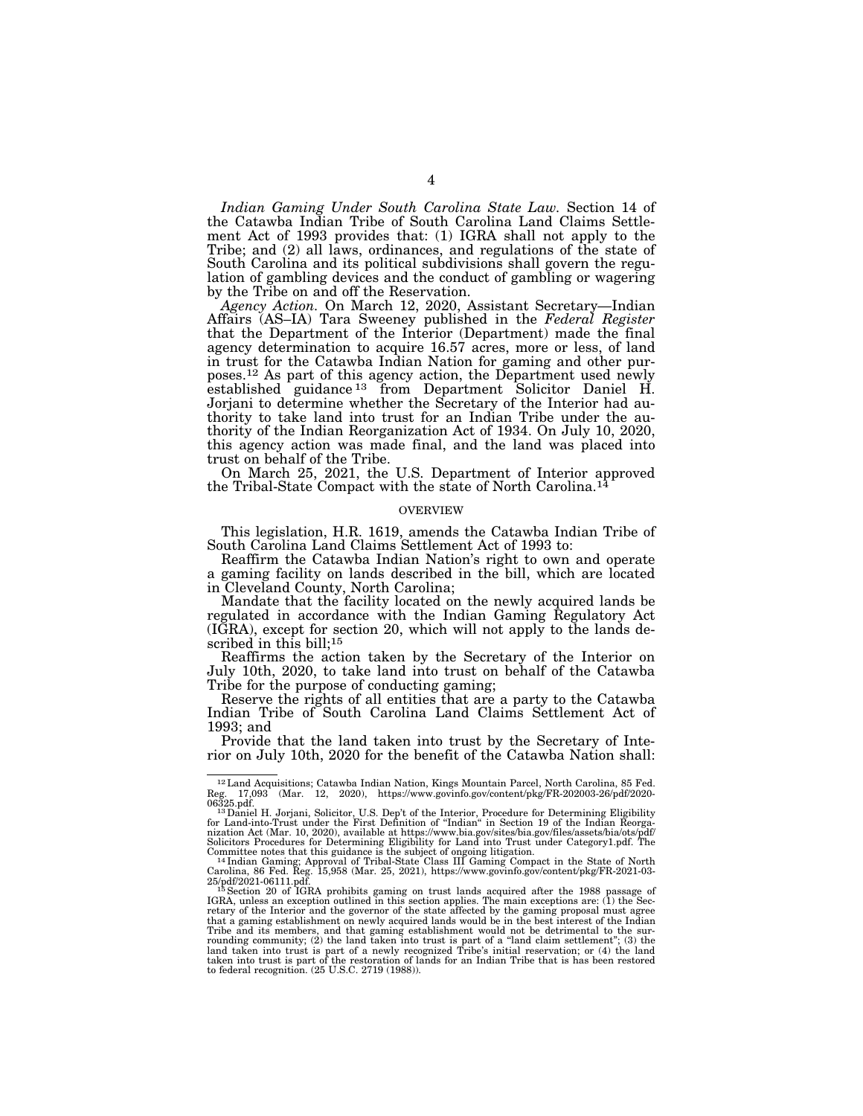*Indian Gaming Under South Carolina State Law.* Section 14 of the Catawba Indian Tribe of South Carolina Land Claims Settlement Act of 1993 provides that: (1) IGRA shall not apply to the Tribe; and (2) all laws, ordinances, and regulations of the state of South Carolina and its political subdivisions shall govern the regulation of gambling devices and the conduct of gambling or wagering by the Tribe on and off the Reservation.

*Agency Action.* On March 12, 2020, Assistant Secretary—Indian Affairs (AS–IA) Tara Sweeney published in the *Federal Register*  that the Department of the Interior (Department) made the final agency determination to acquire 16.57 acres, more or less, of land in trust for the Catawba Indian Nation for gaming and other purposes.12 As part of this agency action, the Department used newly established guidance<sup>13</sup> from Department Solicitor Daniel H. Jorjani to determine whether the Secretary of the Interior had authority to take land into trust for an Indian Tribe under the authority of the Indian Reorganization Act of 1934. On July 10, 2020, this agency action was made final, and the land was placed into trust on behalf of the Tribe.

On March 25, 2021, the U.S. Department of Interior approved the Tribal-State Compact with the state of North Carolina.14

# OVERVIEW

This legislation, H.R. 1619, amends the Catawba Indian Tribe of South Carolina Land Claims Settlement Act of 1993 to:

Reaffirm the Catawba Indian Nation's right to own and operate a gaming facility on lands described in the bill, which are located in Cleveland County, North Carolina;

Mandate that the facility located on the newly acquired lands be regulated in accordance with the Indian Gaming Regulatory Act (IGRA), except for section 20, which will not apply to the lands described in this bill;<sup>15</sup>

Reaffirms the action taken by the Secretary of the Interior on July 10th, 2020, to take land into trust on behalf of the Catawba Tribe for the purpose of conducting gaming;

Reserve the rights of all entities that are a party to the Catawba Indian Tribe of South Carolina Land Claims Settlement Act of 1993; and

Provide that the land taken into trust by the Secretary of Interior on July 10th, 2020 for the benefit of the Catawba Nation shall:

<sup>12</sup>Land Acquisitions; Catawba Indian Nation, Kings Mountain Parcel, North Carolina, 85 Fed. Reg. 17,093 (Mar. 12, 2020), https://www.govinfo.gov/content/pkg/FR-202003-26/pdf/2020-

<sup>06325.</sup>pdf.<br><sup>13</sup>Daniel H. Jorjani, Solicitor, U.S. Dep't of the Interior, Procedure for Determining Eligibility<br>for Land-into-Trust under the First Definition of "Indian" in Section 19 of the Indian Reorganization Act (Mar. 10, 2020), available at https://www.bia.gov/sites/bia.gov/files/assets/bia/ots Solicitors Procedures for Determining Eligibility for Land into Trust under Category1.pdf. The

Committee notes that this guidance is the subject of ongoing litigation.<br><sup>14</sup> Indian Gaming; Approval of Tribal-State Class III Gaming Compact in the State of North<br>Carolina, 86 Fed. Reg. 15,958 (Mar. 25, 2021), https://w that a gaming establishment on newly acquired lands would be in the best interest of the Indian<br>Tribe and its members, and that gaming establishment would not be detrimental to the sur-<br>rounding community; (2) the land tak land taken into trust is part of a newly recognized Tribe's initial reservation; or (4) the land<br>taken into trust is part of the restoration of lands for an Indian Tribe that is has been restored<br>to federal recognition. (2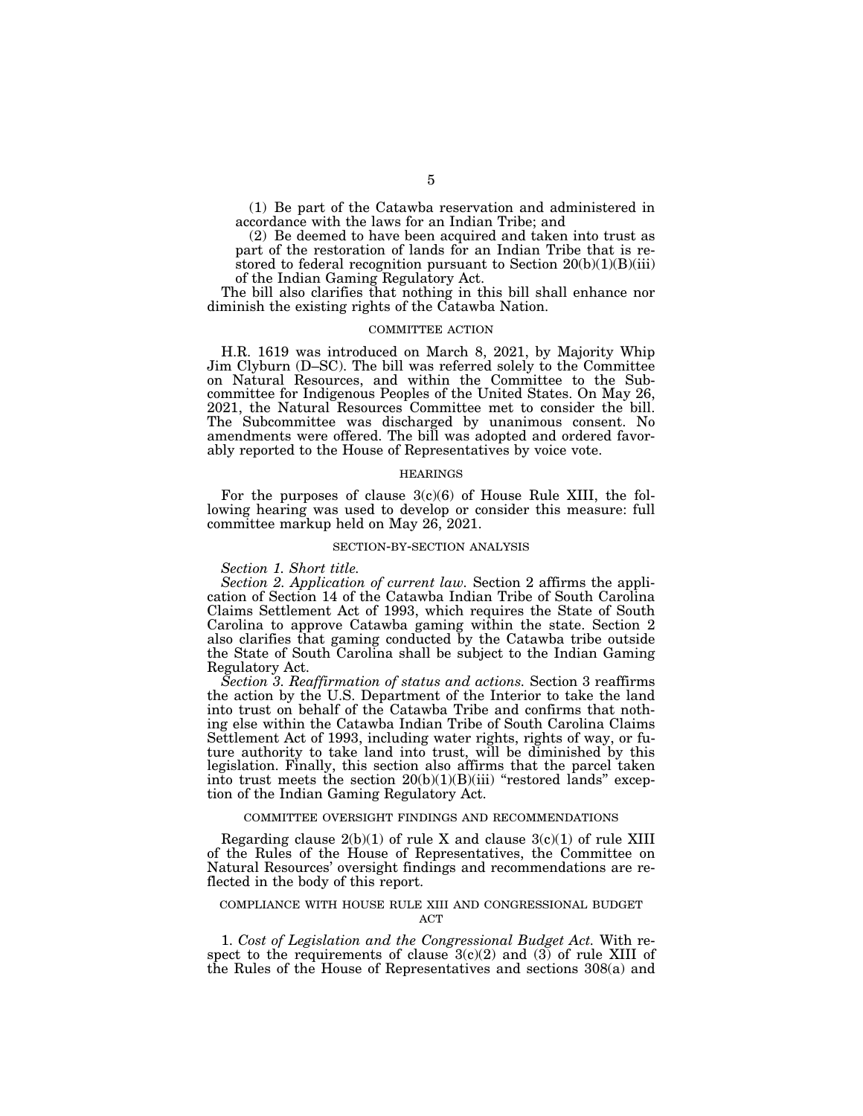(1) Be part of the Catawba reservation and administered in accordance with the laws for an Indian Tribe; and

(2) Be deemed to have been acquired and taken into trust as part of the restoration of lands for an Indian Tribe that is restored to federal recognition pursuant to Section  $20(b)(1)(B)(iii)$ of the Indian Gaming Regulatory Act.

The bill also clarifies that nothing in this bill shall enhance nor diminish the existing rights of the Catawba Nation.

### COMMITTEE ACTION

H.R. 1619 was introduced on March 8, 2021, by Majority Whip Jim Clyburn (D–SC). The bill was referred solely to the Committee on Natural Resources, and within the Committee to the Subcommittee for Indigenous Peoples of the United States. On May 26, 2021, the Natural Resources Committee met to consider the bill. The Subcommittee was discharged by unanimous consent. No amendments were offered. The bill was adopted and ordered favorably reported to the House of Representatives by voice vote.

## HEARINGS

For the purposes of clause  $3(c)(6)$  of House Rule XIII, the following hearing was used to develop or consider this measure: full committee markup held on May 26, 2021.

#### SECTION-BY-SECTION ANALYSIS

*Section 1. Short title.* 

*Section 2. Application of current law.* Section 2 affirms the application of Section 14 of the Catawba Indian Tribe of South Carolina Claims Settlement Act of 1993, which requires the State of South Carolina to approve Catawba gaming within the state. Section 2 also clarifies that gaming conducted by the Catawba tribe outside the State of South Carolina shall be subject to the Indian Gaming Regulatory Act.

*Section 3. Reaffirmation of status and actions.* Section 3 reaffirms the action by the U.S. Department of the Interior to take the land into trust on behalf of the Catawba Tribe and confirms that nothing else within the Catawba Indian Tribe of South Carolina Claims Settlement Act of 1993, including water rights, rights of way, or future authority to take land into trust, will be diminished by this legislation. Finally, this section also affirms that the parcel taken into trust meets the section  $20(b)(1)(B)(iii)$  "restored lands" exception of the Indian Gaming Regulatory Act.

## COMMITTEE OVERSIGHT FINDINGS AND RECOMMENDATIONS

Regarding clause  $2(b)(1)$  of rule X and clause  $3(c)(1)$  of rule XIII of the Rules of the House of Representatives, the Committee on Natural Resources' oversight findings and recommendations are reflected in the body of this report.

#### COMPLIANCE WITH HOUSE RULE XIII AND CONGRESSIONAL BUDGET  $ACT$

1. *Cost of Legislation and the Congressional Budget Act.* With respect to the requirements of clause  $3(c)(2)$  and (3) of rule XIII of the Rules of the House of Representatives and sections 308(a) and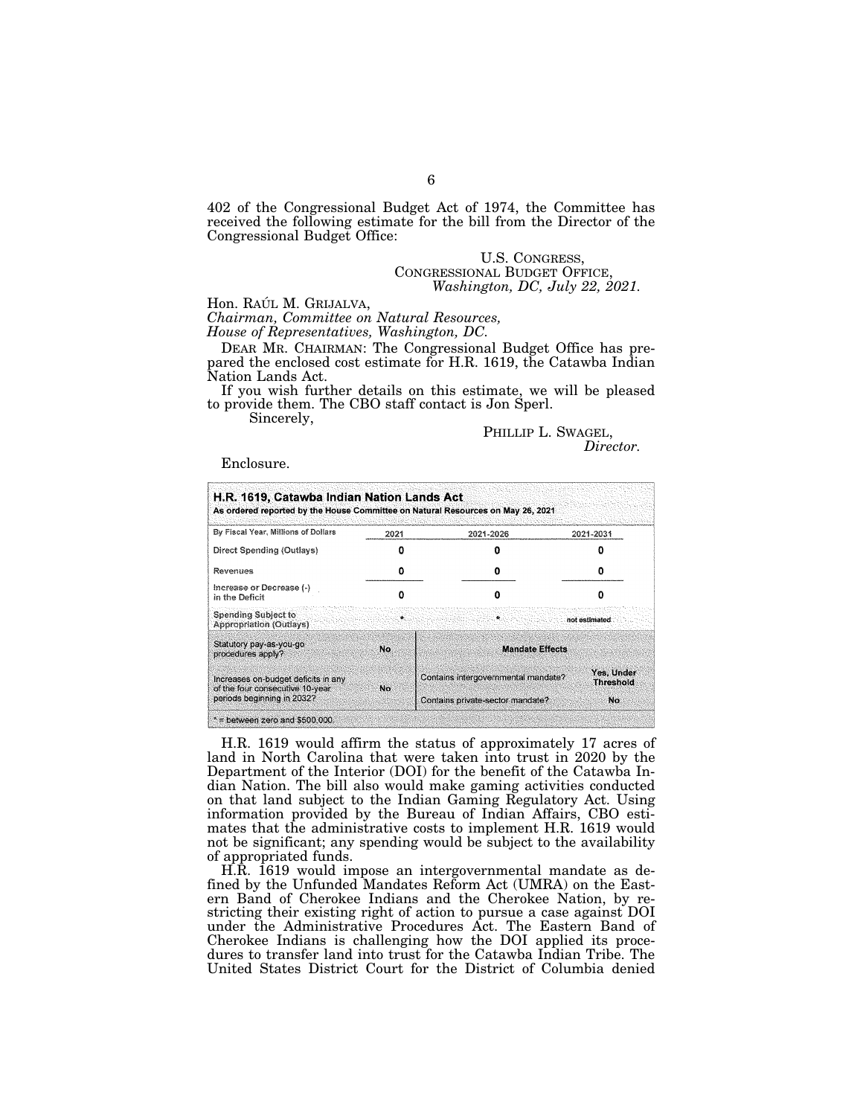402 of the Congressional Budget Act of 1974, the Committee has received the following estimate for the bill from the Director of the Congressional Budget Office:

# U.S. CONGRESS, CONGRESSIONAL BUDGET OFFICE, *Washington, DC, July 22, 2021.*

Hon. Raú*L M. Grijalva,*<br>*Chairman, Committee on Natural Resources, House of Representatives, Washington, DC.* 

DEAR MR. CHAIRMAN: The Congressional Budget Office has prepared the enclosed cost estimate for H.R. 1619, the Catawba Indian Nation Lands Act.

If you wish further details on this estimate, we will be pleased to provide them. The CBO staff contact is Jon Sperl.

Sincerely,

PHILLIP L. SWAGEL, *Director.* 

Enclosure.

| By Fiscal Year, Millions of Dollars                                                                   | 2021 | 2021-2026                           | 2021-2031                      |
|-------------------------------------------------------------------------------------------------------|------|-------------------------------------|--------------------------------|
| Direct Spending (Outlays)                                                                             |      |                                     |                                |
| Revenues                                                                                              | o    |                                     | o                              |
| Increase or Decrease (-)<br>in the Deficit                                                            |      |                                     |                                |
| Spending Subject to<br><b>Appropriation (Outlays)</b>                                                 | ₩.   | A.                                  | not estimated                  |
| Statutory pay-as-you-go<br>procedures apply?                                                          | No.  | <b>Mandate Effects</b>              |                                |
| Increases on-budget deficits in any<br>of the four consecutive 10-year.<br>periods beginning in 2032? | No.  | Contains intergovernmental mandate? | Yes, Under<br><b>Threshold</b> |
|                                                                                                       |      | Contains private-sector mandate?    | No.                            |

H.R. 1619 would affirm the status of approximately 17 acres of land in North Carolina that were taken into trust in 2020 by the Department of the Interior (DOI) for the benefit of the Catawba Indian Nation. The bill also would make gaming activities conducted on that land subject to the Indian Gaming Regulatory Act. Using information provided by the Bureau of Indian Affairs, CBO estimates that the administrative costs to implement H.R. 1619 would not be significant; any spending would be subject to the availability of appropriated funds.

H.R. 1619 would impose an intergovernmental mandate as defined by the Unfunded Mandates Reform Act (UMRA) on the Eastern Band of Cherokee Indians and the Cherokee Nation, by restricting their existing right of action to pursue a case against DOI under the Administrative Procedures Act. The Eastern Band of Cherokee Indians is challenging how the DOI applied its procedures to transfer land into trust for the Catawba Indian Tribe. The United States District Court for the District of Columbia denied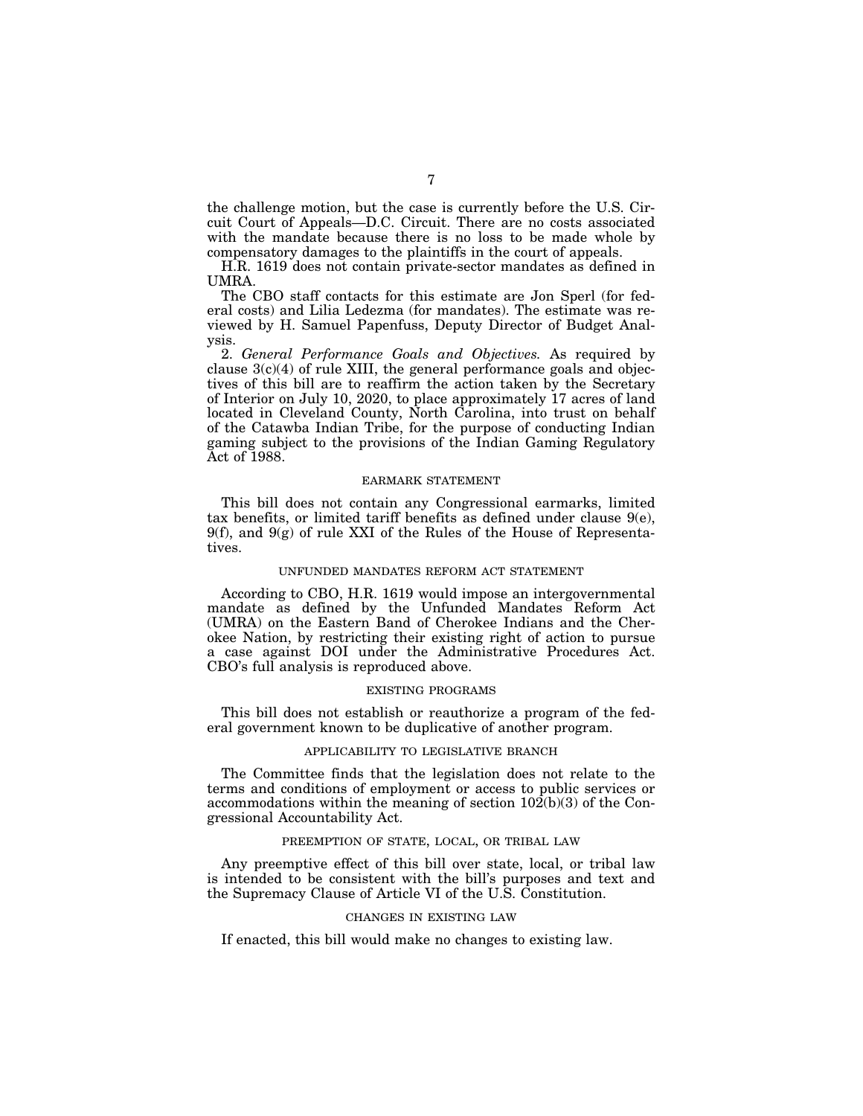the challenge motion, but the case is currently before the U.S. Circuit Court of Appeals—D.C. Circuit. There are no costs associated with the mandate because there is no loss to be made whole by compensatory damages to the plaintiffs in the court of appeals.

H.R. 1619 does not contain private-sector mandates as defined in UMRA.

The CBO staff contacts for this estimate are Jon Sperl (for federal costs) and Lilia Ledezma (for mandates). The estimate was reviewed by H. Samuel Papenfuss, Deputy Director of Budget Analysis.

2. *General Performance Goals and Objectives.* As required by clause  $3(c)(4)$  of rule XIII, the general performance goals and objectives of this bill are to reaffirm the action taken by the Secretary of Interior on July 10, 2020, to place approximately 17 acres of land located in Cleveland County, North Carolina, into trust on behalf of the Catawba Indian Tribe, for the purpose of conducting Indian gaming subject to the provisions of the Indian Gaming Regulatory Act of 1988.

# EARMARK STATEMENT

This bill does not contain any Congressional earmarks, limited tax benefits, or limited tariff benefits as defined under clause 9(e), 9(f), and 9(g) of rule XXI of the Rules of the House of Representatives.

## UNFUNDED MANDATES REFORM ACT STATEMENT

According to CBO, H.R. 1619 would impose an intergovernmental mandate as defined by the Unfunded Mandates Reform Act (UMRA) on the Eastern Band of Cherokee Indians and the Cherokee Nation, by restricting their existing right of action to pursue a case against DOI under the Administrative Procedures Act. CBO's full analysis is reproduced above.

# EXISTING PROGRAMS

This bill does not establish or reauthorize a program of the federal government known to be duplicative of another program.

# APPLICABILITY TO LEGISLATIVE BRANCH

The Committee finds that the legislation does not relate to the terms and conditions of employment or access to public services or accommodations within the meaning of section 102(b)(3) of the Congressional Accountability Act.

# PREEMPTION OF STATE, LOCAL, OR TRIBAL LAW

Any preemptive effect of this bill over state, local, or tribal law is intended to be consistent with the bill's purposes and text and the Supremacy Clause of Article VI of the U.S. Constitution.

## CHANGES IN EXISTING LAW

If enacted, this bill would make no changes to existing law.